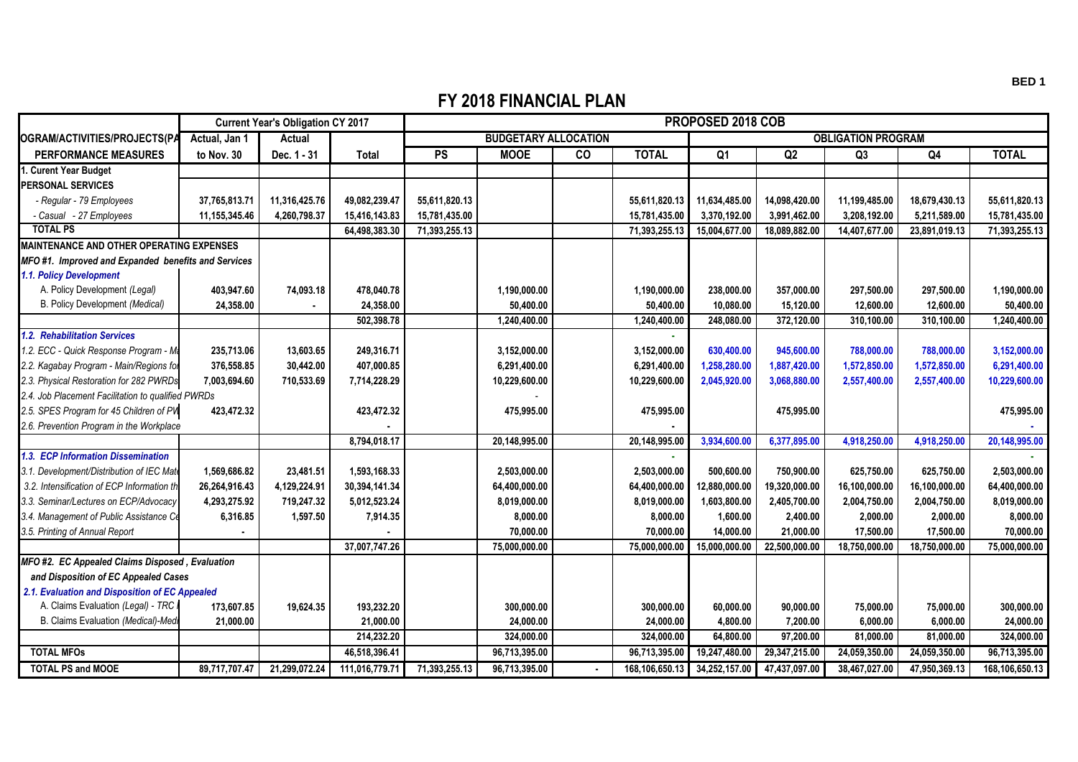## **FY 2018 FINANCIAL PLAN**

|                                                    | <b>Current Year's Obligation CY 2017</b> |               |                | PROPOSED 2018 COB           |               |                |                |                           |               |               |               |                |  |
|----------------------------------------------------|------------------------------------------|---------------|----------------|-----------------------------|---------------|----------------|----------------|---------------------------|---------------|---------------|---------------|----------------|--|
| OGRAM/ACTIVITIES/PROJECTS(PA                       | Actual, Jan 1                            | Actual        |                | <b>BUDGETARY ALLOCATION</b> |               |                |                | <b>OBLIGATION PROGRAM</b> |               |               |               |                |  |
| <b>PERFORMANCE MEASURES</b>                        | to Nov. 30                               | Dec. 1 - 31   | <b>Total</b>   | PS                          | <b>MOOE</b>   | $\overline{c}$ | <b>TOTAL</b>   | Q1                        | Q2            | Q3            | Q4            | <b>TOTAL</b>   |  |
| . Curent Year Budget                               |                                          |               |                |                             |               |                |                |                           |               |               |               |                |  |
| <b>PERSONAL SERVICES</b>                           |                                          |               |                |                             |               |                |                |                           |               |               |               |                |  |
| - Regular - 79 Employees                           | 37.765.813.71                            | 11,316,425.76 | 49.082.239.47  | 55.611.820.13               |               |                | 55,611,820.13  | 11,634,485.00             | 14.098.420.00 | 11,199,485.00 | 18.679.430.13 | 55.611.820.13  |  |
| - Casual - 27 Employees                            | 11,155,345.46                            | 4,260,798.37  | 15,416,143.83  | 15,781,435.00               |               |                | 15,781,435.00  | 3,370,192.00              | 3,991,462.00  | 3,208,192.00  | 5,211,589.00  | 15,781,435.00  |  |
| <b>TOTAL PS</b>                                    |                                          |               | 64.498.383.30  | 71,393,255.13               |               |                | 71,393,255.13  | 15,004,677.00             | 18.089.882.00 | 14.407.677.00 | 23,891,019.13 | 71,393,255.13  |  |
| <b>MAINTENANCE AND OTHER OPERATING EXPENSES</b>    |                                          |               |                |                             |               |                |                |                           |               |               |               |                |  |
| MFO#1. Improved and Expanded benefits and Services |                                          |               |                |                             |               |                |                |                           |               |               |               |                |  |
| 1.1. Policy Development                            |                                          |               |                |                             |               |                |                |                           |               |               |               |                |  |
| A. Policy Development (Legal)                      | 403.947.60                               | 74,093.18     | 478,040.78     |                             | 1.190.000.00  |                | 1,190,000.00   | 238.000.00                | 357.000.00    | 297.500.00    | 297.500.00    | 1,190,000.00   |  |
| B. Policy Development (Medical)                    | 24,358.00                                |               | 24,358.00      |                             | 50,400.00     |                | 50,400.00      | 10,080.00                 | 15,120.00     | 12,600.00     | 12,600.00     | 50,400.00      |  |
|                                                    |                                          |               | 502,398.78     |                             | 1,240,400.00  |                | 1,240,400.00   | 248.080.00                | 372,120.00    | 310.100.00    | 310,100.00    | 1,240,400.00   |  |
| 1.2. Rehabilitation Services                       |                                          |               |                |                             |               |                |                |                           |               |               |               |                |  |
| 1.2. ECC - Quick Response Program - Ma             | 235,713.06                               | 13,603.65     | 249,316.71     |                             | 3,152,000.00  |                | 3,152,000.00   | 630,400.00                | 945,600.00    | 788,000.00    | 788,000.00    | 3,152,000.00   |  |
| 2.2. Kagabay Program - Main/Regions for            | 376,558.85                               | 30,442.00     | 407,000.85     |                             | 6.291.400.00  |                | 6,291,400.00   | 1.258.280.00              | 1,887,420.00  | 1,572,850.00  | 1,572,850.00  | 6,291,400.00   |  |
| 2.3. Physical Restoration for 282 PWRDs            | 7,003,694.60                             | 710,533.69    | 7,714,228.29   |                             | 10,229,600.00 |                | 10,229,600.00  | 2,045,920.00              | 3,068,880.00  | 2,557,400.00  | 2,557,400.00  | 10,229,600.00  |  |
| 2.4. Job Placement Facilitation to qualified PWRDs |                                          |               |                |                             |               |                |                |                           |               |               |               |                |  |
| 2.5. SPES Program for 45 Children of PW            | 423,472.32                               |               | 423,472.32     |                             | 475,995.00    |                | 475,995.00     |                           | 475,995.00    |               |               | 475,995.00     |  |
| 2.6. Prevention Program in the Workplace           |                                          |               |                |                             |               |                |                |                           |               |               |               |                |  |
|                                                    |                                          |               | 8,794,018.17   |                             | 20,148,995.00 |                | 20,148,995.00  | 3,934,600.00              | 6,377,895.00  | 4,918,250.00  | 4,918,250.00  | 20,148,995.00  |  |
| 1.3. ECP Information Dissemination                 |                                          |               |                |                             |               |                |                |                           |               |               |               |                |  |
| 3.1. Development/Distribution of IEC Mate          | 1,569,686.82                             | 23,481.51     | 1,593,168.33   |                             | 2,503,000.00  |                | 2,503,000.00   | 500,600.00                | 750,900.00    | 625,750.00    | 625,750.00    | 2,503,000.00   |  |
| 3.2. Intensification of ECP Information th         | 26,264,916.43                            | 4,129,224.91  | 30,394,141.34  |                             | 64,400,000.00 |                | 64,400,000.00  | 12,880,000.00             | 19,320,000.00 | 16.100.000.00 | 16,100,000.00 | 64,400,000.00  |  |
| 3.3. Seminar/Lectures on ECP/Advocacy              | 4,293,275.92                             | 719,247.32    | 5,012,523.24   |                             | 8,019,000.00  |                | 8,019,000.00   | 1,603,800.00              | 2,405,700.00  | 2,004,750.00  | 2,004,750.00  | 8,019,000.00   |  |
| 3.4. Management of Public Assistance Ce            | 6,316.85                                 | 1,597.50      | 7,914.35       |                             | 8,000.00      |                | 8,000.00       | 1,600.00                  | 2,400.00      | 2,000.00      | 2,000.00      | 8,000.00       |  |
| 3.5. Printing of Annual Report                     |                                          |               |                |                             | 70,000.00     |                | 70,000.00      | 14,000.00                 | 21,000.00     | 17,500.00     | 17,500.00     | 70,000.00      |  |
|                                                    |                                          |               | 37,007,747.26  |                             | 75,000,000.00 |                | 75,000,000.00  | 15,000,000.00             | 22,500,000.00 | 18,750,000.00 | 18,750,000.00 | 75,000,000.00  |  |
| MFO#2. EC Appealed Claims Disposed, Evaluation     |                                          |               |                |                             |               |                |                |                           |               |               |               |                |  |
| and Disposition of EC Appealed Cases               |                                          |               |                |                             |               |                |                |                           |               |               |               |                |  |
| 2.1. Evaluation and Disposition of EC Appealed     |                                          |               |                |                             |               |                |                |                           |               |               |               |                |  |
| A. Claims Evaluation (Legal) - TRC I               | 173,607.85                               | 19,624.35     | 193,232.20     |                             | 300,000.00    |                | 300,000.00     | 60,000.00                 | 90,000.00     | 75,000.00     | 75,000.00     | 300,000.00     |  |
| B. Claims Evaluation (Medical)-Medi                | 21.000.00                                |               | 21.000.00      |                             | 24.000.00     |                | 24.000.00      | 4,800.00                  | 7,200.00      | 6.000.00      | 6.000.00      | 24.000.00      |  |
|                                                    |                                          |               | 214,232.20     |                             | 324,000.00    |                | 324,000.00     | 64,800.00                 | 97,200.00     | 81,000.00     | 81,000.00     | 324,000.00     |  |
| <b>TOTAL MFOs</b>                                  |                                          |               | 46.518.396.41  |                             | 96,713,395.00 |                | 96,713,395.00  | 19,247,480.00             | 29,347,215.00 | 24,059,350.00 | 24,059,350.00 | 96,713,395.00  |  |
| <b>TOTAL PS and MOOE</b>                           | 89,717,707.47                            | 21,299,072.24 | 111,016,779.71 | 71,393,255.13               | 96,713,395.00 | $\bullet$      | 168,106,650.13 | 34,252,157.00             | 47,437,097.00 | 38,467,027.00 | 47,950,369.13 | 168,106,650.13 |  |

**BED 1**